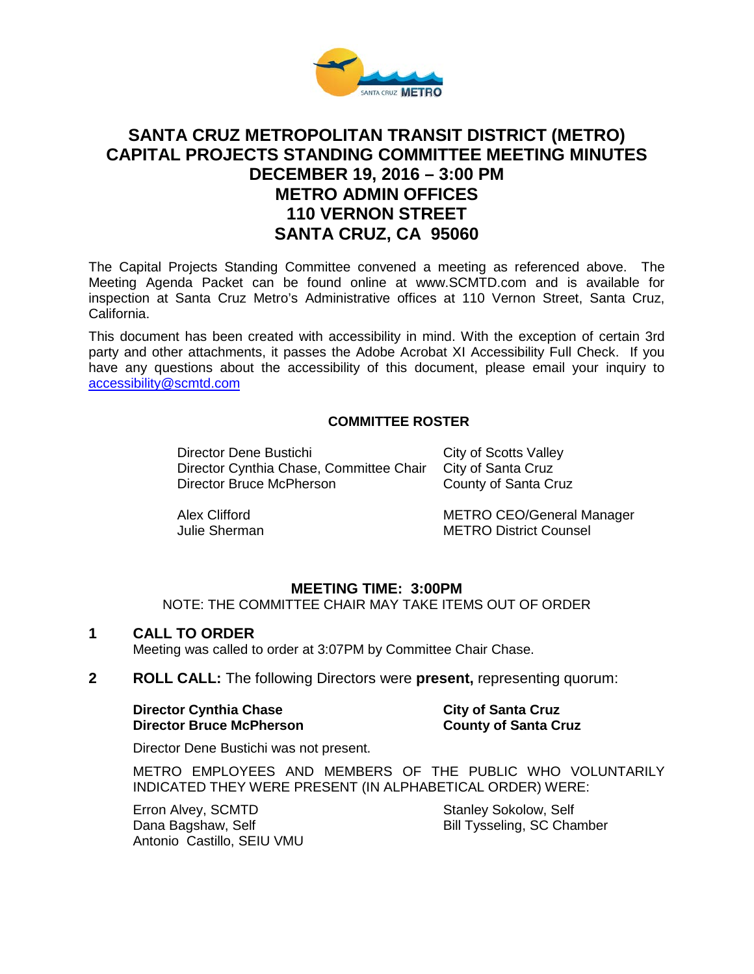

# **SANTA CRUZ METROPOLITAN TRANSIT DISTRICT (METRO) CAPITAL PROJECTS STANDING COMMITTEE MEETING MINUTES DECEMBER 19, 2016 – 3:00 PM METRO ADMIN OFFICES 110 VERNON STREET SANTA CRUZ, CA 95060**

The Capital Projects Standing Committee convened a meeting as referenced above. The Meeting Agenda Packet can be found online at www.SCMTD.com and is available for inspection at Santa Cruz Metro's Administrative offices at 110 Vernon Street, Santa Cruz, California.

This document has been created with accessibility in mind. With the exception of certain 3rd party and other attachments, it passes the Adobe Acrobat XI Accessibility Full Check. If you have any questions about the accessibility of this document, please email your inquiry to [accessibility@scmtd.com](mailto:accessibility@scmtd.com)

## **COMMITTEE ROSTER**

Director Dene Bustichi City of Scotts Valley Director Cynthia Chase, Committee Chair City of Santa Cruz Director Bruce McPherson County of Santa Cruz

Alex Clifford METRO CEO/General Manager Julie Sherman METRO District Counsel

#### **MEETING TIME: 3:00PM**

NOTE: THE COMMITTEE CHAIR MAY TAKE ITEMS OUT OF ORDER

#### **1 CALL TO ORDER**

Meeting was called to order at 3:07PM by Committee Chair Chase.

**2 ROLL CALL:** The following Directors were **present,** representing quorum:

#### **Director Cynthia Chase City of Santa Cruz Director Bruce McPherson County of Santa Cruz**

Director Dene Bustichi was not present.

METRO EMPLOYEES AND MEMBERS OF THE PUBLIC WHO VOLUNTARILY INDICATED THEY WERE PRESENT (IN ALPHABETICAL ORDER) WERE:

Erron Alvey, SCMTD Dana Bagshaw, Self Antonio Castillo, SEIU VMU Stanley Sokolow, Self Bill Tysseling, SC Chamber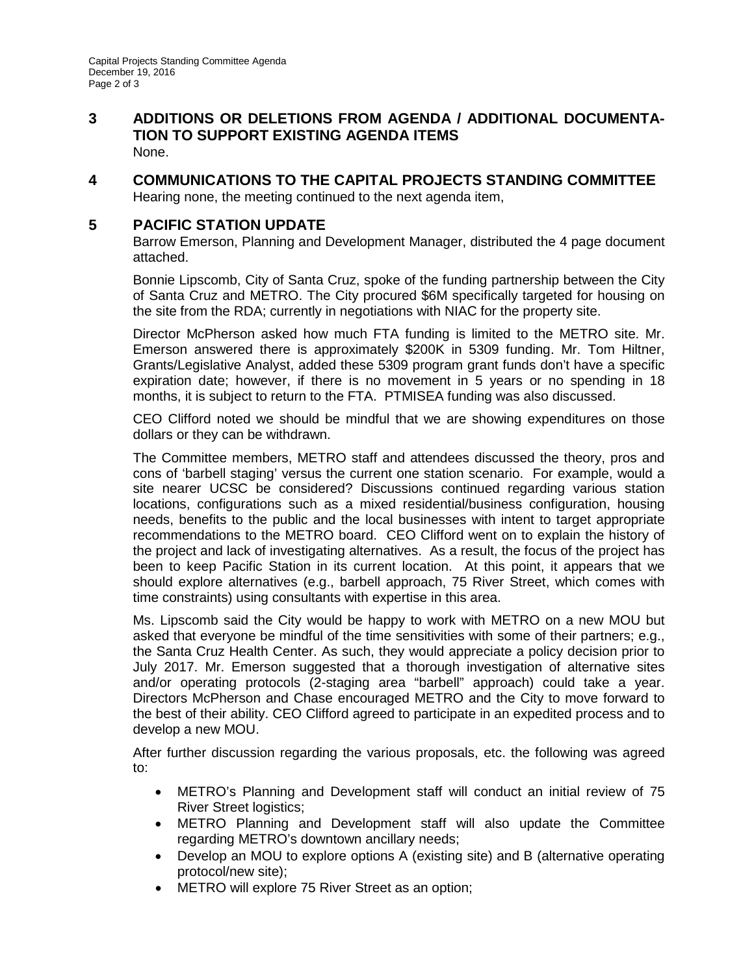- **3 ADDITIONS OR DELETIONS FROM AGENDA / ADDITIONAL DOCUMENTA-TION TO SUPPORT EXISTING AGENDA ITEMS** None.
- **4 COMMUNICATIONS TO THE CAPITAL PROJECTS STANDING COMMITTEE** Hearing none, the meeting continued to the next agenda item,

# **5 PACIFIC STATION UPDATE**

Barrow Emerson, Planning and Development Manager, distributed the 4 page document attached.

Bonnie Lipscomb, City of Santa Cruz, spoke of the funding partnership between the City of Santa Cruz and METRO. The City procured \$6M specifically targeted for housing on the site from the RDA; currently in negotiations with NIAC for the property site.

Director McPherson asked how much FTA funding is limited to the METRO site. Mr. Emerson answered there is approximately \$200K in 5309 funding. Mr. Tom Hiltner, Grants/Legislative Analyst, added these 5309 program grant funds don't have a specific expiration date; however, if there is no movement in 5 years or no spending in 18 months, it is subject to return to the FTA. PTMISEA funding was also discussed.

CEO Clifford noted we should be mindful that we are showing expenditures on those dollars or they can be withdrawn.

The Committee members, METRO staff and attendees discussed the theory, pros and cons of 'barbell staging' versus the current one station scenario. For example, would a site nearer UCSC be considered? Discussions continued regarding various station locations, configurations such as a mixed residential/business configuration, housing needs, benefits to the public and the local businesses with intent to target appropriate recommendations to the METRO board. CEO Clifford went on to explain the history of the project and lack of investigating alternatives. As a result, the focus of the project has been to keep Pacific Station in its current location. At this point, it appears that we should explore alternatives (e.g., barbell approach, 75 River Street, which comes with time constraints) using consultants with expertise in this area.

Ms. Lipscomb said the City would be happy to work with METRO on a new MOU but asked that everyone be mindful of the time sensitivities with some of their partners; e.g., the Santa Cruz Health Center. As such, they would appreciate a policy decision prior to July 2017. Mr. Emerson suggested that a thorough investigation of alternative sites and/or operating protocols (2-staging area "barbell" approach) could take a year. Directors McPherson and Chase encouraged METRO and the City to move forward to the best of their ability. CEO Clifford agreed to participate in an expedited process and to develop a new MOU.

After further discussion regarding the various proposals, etc. the following was agreed to:

- METRO's Planning and Development staff will conduct an initial review of 75 River Street logistics;
- METRO Planning and Development staff will also update the Committee regarding METRO's downtown ancillary needs;
- Develop an MOU to explore options A (existing site) and B (alternative operating protocol/new site);
- METRO will explore 75 River Street as an option;